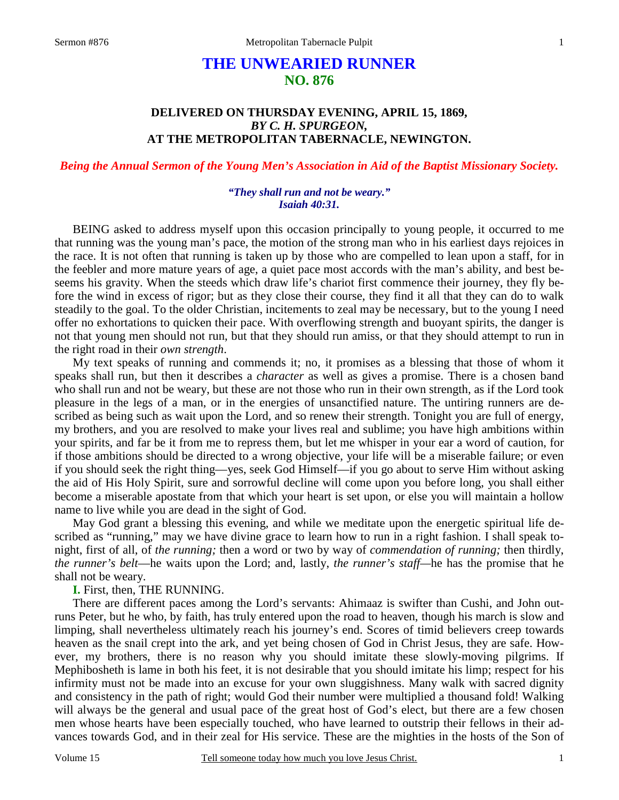# **THE UNWEARIED RUNNER NO. 876**

# **DELIVERED ON THURSDAY EVENING, APRIL 15, 1869,**  *BY C. H. SPURGEON,*  **AT THE METROPOLITAN TABERNACLE, NEWINGTON.**

# *Being the Annual Sermon of the Young Men's Association in Aid of the Baptist Missionary Society.*

### *"They shall run and not be weary." Isaiah 40:31.*

BEING asked to address myself upon this occasion principally to young people, it occurred to me that running was the young man's pace, the motion of the strong man who in his earliest days rejoices in the race. It is not often that running is taken up by those who are compelled to lean upon a staff, for in the feebler and more mature years of age, a quiet pace most accords with the man's ability, and best beseems his gravity. When the steeds which draw life's chariot first commence their journey, they fly before the wind in excess of rigor; but as they close their course, they find it all that they can do to walk steadily to the goal. To the older Christian, incitements to zeal may be necessary, but to the young I need offer no exhortations to quicken their pace. With overflowing strength and buoyant spirits, the danger is not that young men should not run, but that they should run amiss, or that they should attempt to run in the right road in their *own strength*.

 My text speaks of running and commends it; no, it promises as a blessing that those of whom it speaks shall run, but then it describes a *character* as well as gives a promise. There is a chosen band who shall run and not be weary, but these are not those who run in their own strength, as if the Lord took pleasure in the legs of a man, or in the energies of unsanctified nature. The untiring runners are described as being such as wait upon the Lord, and so renew their strength. Tonight you are full of energy, my brothers, and you are resolved to make your lives real and sublime; you have high ambitions within your spirits, and far be it from me to repress them, but let me whisper in your ear a word of caution, for if those ambitions should be directed to a wrong objective, your life will be a miserable failure; or even if you should seek the right thing—yes, seek God Himself—if you go about to serve Him without asking the aid of His Holy Spirit, sure and sorrowful decline will come upon you before long, you shall either become a miserable apostate from that which your heart is set upon, or else you will maintain a hollow name to live while you are dead in the sight of God.

 May God grant a blessing this evening, and while we meditate upon the energetic spiritual life described as "running," may we have divine grace to learn how to run in a right fashion. I shall speak tonight, first of all, of *the running;* then a word or two by way of *commendation of running;* then thirdly, *the runner's belt*—he waits upon the Lord; and, lastly, *the runner's staff—*he has the promise that he shall not be weary.

**I.** First, then, THE RUNNING.

 There are different paces among the Lord's servants: Ahimaaz is swifter than Cushi, and John outruns Peter, but he who, by faith, has truly entered upon the road to heaven, though his march is slow and limping, shall nevertheless ultimately reach his journey's end. Scores of timid believers creep towards heaven as the snail crept into the ark, and yet being chosen of God in Christ Jesus, they are safe. However, my brothers, there is no reason why you should imitate these slowly-moving pilgrims. If Mephibosheth is lame in both his feet, it is not desirable that you should imitate his limp; respect for his infirmity must not be made into an excuse for your own sluggishness. Many walk with sacred dignity and consistency in the path of right; would God their number were multiplied a thousand fold! Walking will always be the general and usual pace of the great host of God's elect, but there are a few chosen men whose hearts have been especially touched, who have learned to outstrip their fellows in their advances towards God, and in their zeal for His service. These are the mighties in the hosts of the Son of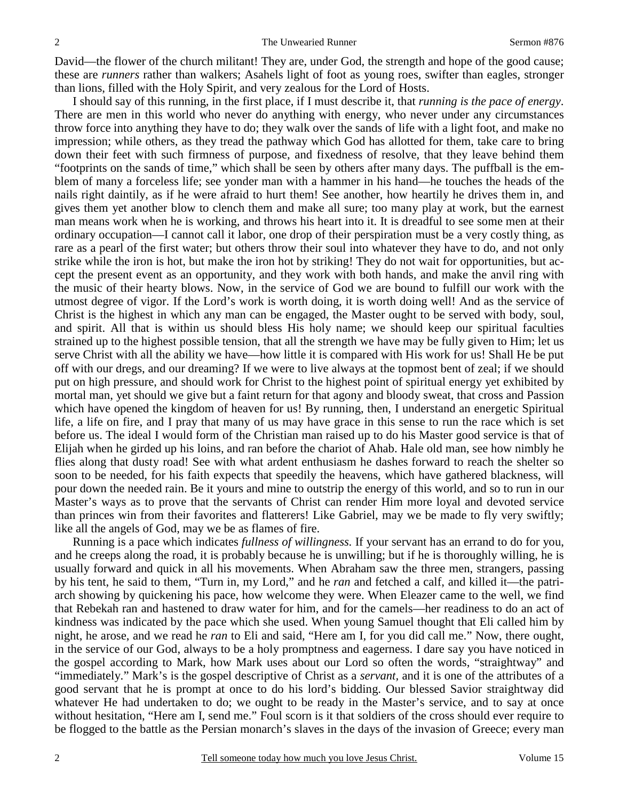David—the flower of the church militant! They are, under God, the strength and hope of the good cause; these are *runners* rather than walkers; Asahels light of foot as young roes, swifter than eagles, stronger than lions, filled with the Holy Spirit, and very zealous for the Lord of Hosts.

I should say of this running, in the first place, if I must describe it, that *running is the pace of energy*. There are men in this world who never do anything with energy, who never under any circumstances throw force into anything they have to do; they walk over the sands of life with a light foot, and make no impression; while others, as they tread the pathway which God has allotted for them, take care to bring down their feet with such firmness of purpose, and fixedness of resolve, that they leave behind them "footprints on the sands of time," which shall be seen by others after many days. The puffball is the emblem of many a forceless life; see yonder man with a hammer in his hand—he touches the heads of the nails right daintily, as if he were afraid to hurt them! See another, how heartily he drives them in, and gives them yet another blow to clench them and make all sure; too many play at work, but the earnest man means work when he is working, and throws his heart into it. It is dreadful to see some men at their ordinary occupation—I cannot call it labor, one drop of their perspiration must be a very costly thing, as rare as a pearl of the first water; but others throw their soul into whatever they have to do, and not only strike while the iron is hot, but make the iron hot by striking! They do not wait for opportunities, but accept the present event as an opportunity, and they work with both hands, and make the anvil ring with the music of their hearty blows. Now, in the service of God we are bound to fulfill our work with the utmost degree of vigor. If the Lord's work is worth doing, it is worth doing well! And as the service of Christ is the highest in which any man can be engaged, the Master ought to be served with body, soul, and spirit. All that is within us should bless His holy name; we should keep our spiritual faculties strained up to the highest possible tension, that all the strength we have may be fully given to Him; let us serve Christ with all the ability we have—how little it is compared with His work for us! Shall He be put off with our dregs, and our dreaming? If we were to live always at the topmost bent of zeal; if we should put on high pressure, and should work for Christ to the highest point of spiritual energy yet exhibited by mortal man, yet should we give but a faint return for that agony and bloody sweat, that cross and Passion which have opened the kingdom of heaven for us! By running, then, I understand an energetic Spiritual life, a life on fire, and I pray that many of us may have grace in this sense to run the race which is set before us. The ideal I would form of the Christian man raised up to do his Master good service is that of Elijah when he girded up his loins, and ran before the chariot of Ahab. Hale old man, see how nimbly he flies along that dusty road! See with what ardent enthusiasm he dashes forward to reach the shelter so soon to be needed, for his faith expects that speedily the heavens, which have gathered blackness, will pour down the needed rain. Be it yours and mine to outstrip the energy of this world, and so to run in our Master's ways as to prove that the servants of Christ can render Him more loyal and devoted service than princes win from their favorites and flatterers! Like Gabriel, may we be made to fly very swiftly; like all the angels of God, may we be as flames of fire.

 Running is a pace which indicates *fullness of willingness.* If your servant has an errand to do for you, and he creeps along the road, it is probably because he is unwilling; but if he is thoroughly willing, he is usually forward and quick in all his movements. When Abraham saw the three men, strangers, passing by his tent, he said to them, "Turn in, my Lord," and he *ran* and fetched a calf, and killed it—the patriarch showing by quickening his pace, how welcome they were. When Eleazer came to the well, we find that Rebekah ran and hastened to draw water for him, and for the camels—her readiness to do an act of kindness was indicated by the pace which she used. When young Samuel thought that Eli called him by night, he arose, and we read he *ran* to Eli and said, "Here am I, for you did call me." Now, there ought, in the service of our God, always to be a holy promptness and eagerness. I dare say you have noticed in the gospel according to Mark, how Mark uses about our Lord so often the words, "straightway" and "immediately." Mark's is the gospel descriptive of Christ as a *servant,* and it is one of the attributes of a good servant that he is prompt at once to do his lord's bidding. Our blessed Savior straightway did whatever He had undertaken to do; we ought to be ready in the Master's service, and to say at once without hesitation, "Here am I, send me." Foul scorn is it that soldiers of the cross should ever require to be flogged to the battle as the Persian monarch's slaves in the days of the invasion of Greece; every man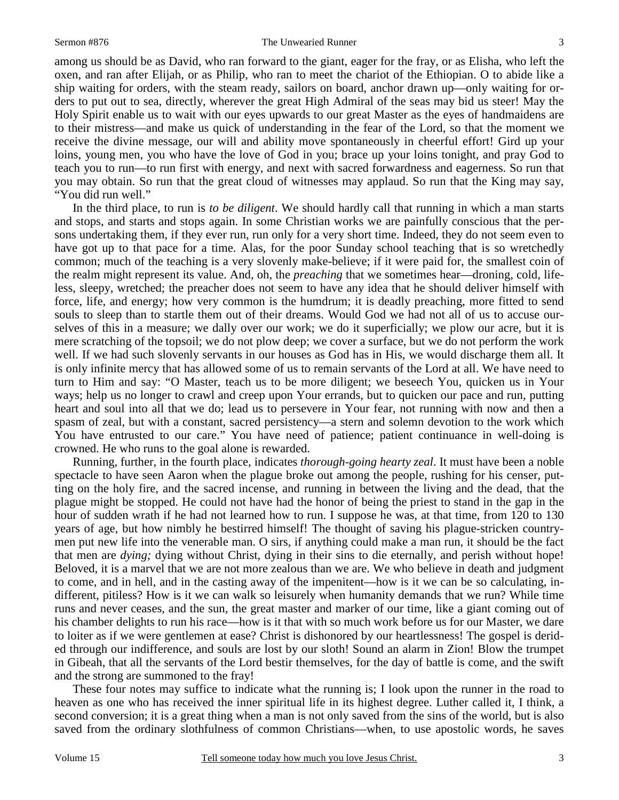#### Sermon #876 The Unwearied Runner

3

among us should be as David, who ran forward to the giant, eager for the fray, or as Elisha, who left the oxen, and ran after Elijah, or as Philip, who ran to meet the chariot of the Ethiopian. O to abide like a ship waiting for orders, with the steam ready, sailors on board, anchor drawn up—only waiting for orders to put out to sea, directly, wherever the great High Admiral of the seas may bid us steer! May the Holy Spirit enable us to wait with our eyes upwards to our great Master as the eyes of handmaidens are to their mistress—and make us quick of understanding in the fear of the Lord, so that the moment we receive the divine message, our will and ability move spontaneously in cheerful effort! Gird up your loins, young men, you who have the love of God in you; brace up your loins tonight, and pray God to teach you to run—to run first with energy, and next with sacred forwardness and eagerness. So run that you may obtain. So run that the great cloud of witnesses may applaud. So run that the King may say, "You did run well."

 In the third place, to run is *to be diligent*. We should hardly call that running in which a man starts and stops, and starts and stops again. In some Christian works we are painfully conscious that the persons undertaking them, if they ever run, run only for a very short time. Indeed, they do not seem even to have got up to that pace for a time. Alas, for the poor Sunday school teaching that is so wretchedly common; much of the teaching is a very slovenly make-believe; if it were paid for, the smallest coin of the realm might represent its value. And, oh, the *preaching* that we sometimes hear—droning, cold, lifeless, sleepy, wretched; the preacher does not seem to have any idea that he should deliver himself with force, life, and energy; how very common is the humdrum; it is deadly preaching, more fitted to send souls to sleep than to startle them out of their dreams. Would God we had not all of us to accuse ourselves of this in a measure; we dally over our work; we do it superficially; we plow our acre, but it is mere scratching of the topsoil; we do not plow deep; we cover a surface, but we do not perform the work well. If we had such slovenly servants in our houses as God has in His, we would discharge them all. It is only infinite mercy that has allowed some of us to remain servants of the Lord at all. We have need to turn to Him and say: "O Master, teach us to be more diligent; we beseech You, quicken us in Your ways; help us no longer to crawl and creep upon Your errands, but to quicken our pace and run, putting heart and soul into all that we do; lead us to persevere in Your fear, not running with now and then a spasm of zeal, but with a constant, sacred persistency—a stern and solemn devotion to the work which You have entrusted to our care." You have need of patience; patient continuance in well-doing is crowned. He who runs to the goal alone is rewarded.

 Running, further, in the fourth place, indicates *thorough-going hearty zeal*. It must have been a noble spectacle to have seen Aaron when the plague broke out among the people, rushing for his censer, putting on the holy fire, and the sacred incense, and running in between the living and the dead, that the plague might be stopped. He could not have had the honor of being the priest to stand in the gap in the hour of sudden wrath if he had not learned how to run. I suppose he was, at that time, from 120 to 130 years of age, but how nimbly he bestirred himself! The thought of saving his plague-stricken countrymen put new life into the venerable man. O sirs, if anything could make a man run, it should be the fact that men are *dying;* dying without Christ, dying in their sins to die eternally, and perish without hope! Beloved, it is a marvel that we are not more zealous than we are. We who believe in death and judgment to come, and in hell, and in the casting away of the impenitent—how is it we can be so calculating, indifferent, pitiless? How is it we can walk so leisurely when humanity demands that we run? While time runs and never ceases, and the sun, the great master and marker of our time, like a giant coming out of his chamber delights to run his race—how is it that with so much work before us for our Master, we dare to loiter as if we were gentlemen at ease? Christ is dishonored by our heartlessness! The gospel is derided through our indifference, and souls are lost by our sloth! Sound an alarm in Zion! Blow the trumpet in Gibeah, that all the servants of the Lord bestir themselves, for the day of battle is come, and the swift and the strong are summoned to the fray!

 These four notes may suffice to indicate what the running is; I look upon the runner in the road to heaven as one who has received the inner spiritual life in its highest degree. Luther called it, I think, a second conversion; it is a great thing when a man is not only saved from the sins of the world, but is also saved from the ordinary slothfulness of common Christians—when, to use apostolic words, he saves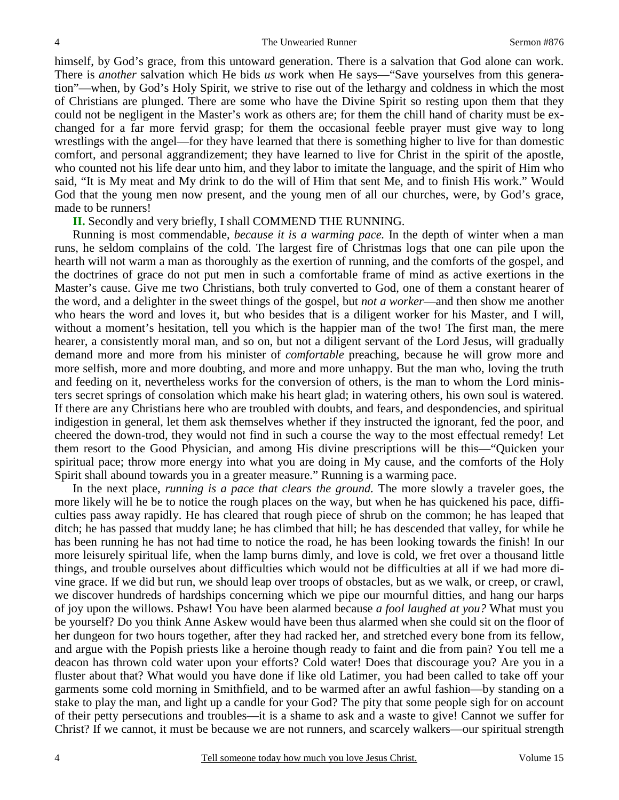himself, by God's grace, from this untoward generation. There is a salvation that God alone can work. There is *another* salvation which He bids *us* work when He says—"Save yourselves from this generation"—when, by God's Holy Spirit, we strive to rise out of the lethargy and coldness in which the most of Christians are plunged. There are some who have the Divine Spirit so resting upon them that they could not be negligent in the Master's work as others are; for them the chill hand of charity must be exchanged for a far more fervid grasp; for them the occasional feeble prayer must give way to long wrestlings with the angel—for they have learned that there is something higher to live for than domestic comfort, and personal aggrandizement; they have learned to live for Christ in the spirit of the apostle, who counted not his life dear unto him, and they labor to imitate the language, and the spirit of Him who said, "It is My meat and My drink to do the will of Him that sent Me, and to finish His work." Would God that the young men now present, and the young men of all our churches, were, by God's grace, made to be runners!

**II.** Secondly and very briefly, I shall COMMEND THE RUNNING.

 Running is most commendable, *because it is a warming pace.* In the depth of winter when a man runs, he seldom complains of the cold. The largest fire of Christmas logs that one can pile upon the hearth will not warm a man as thoroughly as the exertion of running, and the comforts of the gospel, and the doctrines of grace do not put men in such a comfortable frame of mind as active exertions in the Master's cause. Give me two Christians, both truly converted to God, one of them a constant hearer of the word, and a delighter in the sweet things of the gospel, but *not a worker*—and then show me another who hears the word and loves it, but who besides that is a diligent worker for his Master, and I will, without a moment's hesitation, tell you which is the happier man of the two! The first man, the mere hearer, a consistently moral man, and so on, but not a diligent servant of the Lord Jesus, will gradually demand more and more from his minister of *comfortable* preaching, because he will grow more and more selfish, more and more doubting, and more and more unhappy. But the man who, loving the truth and feeding on it, nevertheless works for the conversion of others, is the man to whom the Lord ministers secret springs of consolation which make his heart glad; in watering others, his own soul is watered. If there are any Christians here who are troubled with doubts, and fears, and despondencies, and spiritual indigestion in general, let them ask themselves whether if they instructed the ignorant, fed the poor, and cheered the down-trod, they would not find in such a course the way to the most effectual remedy! Let them resort to the Good Physician, and among His divine prescriptions will be this—"Quicken your spiritual pace; throw more energy into what you are doing in My cause, and the comforts of the Holy Spirit shall abound towards you in a greater measure." Running is a warming pace.

In the next place, *running is a pace that clears the ground*. The more slowly a traveler goes, the more likely will he be to notice the rough places on the way, but when he has quickened his pace, difficulties pass away rapidly. He has cleared that rough piece of shrub on the common; he has leaped that ditch; he has passed that muddy lane; he has climbed that hill; he has descended that valley, for while he has been running he has not had time to notice the road, he has been looking towards the finish! In our more leisurely spiritual life, when the lamp burns dimly, and love is cold, we fret over a thousand little things, and trouble ourselves about difficulties which would not be difficulties at all if we had more divine grace. If we did but run, we should leap over troops of obstacles, but as we walk, or creep, or crawl, we discover hundreds of hardships concerning which we pipe our mournful ditties, and hang our harps of joy upon the willows. Pshaw! You have been alarmed because *a fool laughed at you?* What must you be yourself? Do you think Anne Askew would have been thus alarmed when she could sit on the floor of her dungeon for two hours together, after they had racked her, and stretched every bone from its fellow, and argue with the Popish priests like a heroine though ready to faint and die from pain? You tell me a deacon has thrown cold water upon your efforts? Cold water! Does that discourage you? Are you in a fluster about that? What would you have done if like old Latimer, you had been called to take off your garments some cold morning in Smithfield, and to be warmed after an awful fashion—by standing on a stake to play the man, and light up a candle for your God? The pity that some people sigh for on account of their petty persecutions and troubles—it is a shame to ask and a waste to give! Cannot we suffer for Christ? If we cannot, it must be because we are not runners, and scarcely walkers—our spiritual strength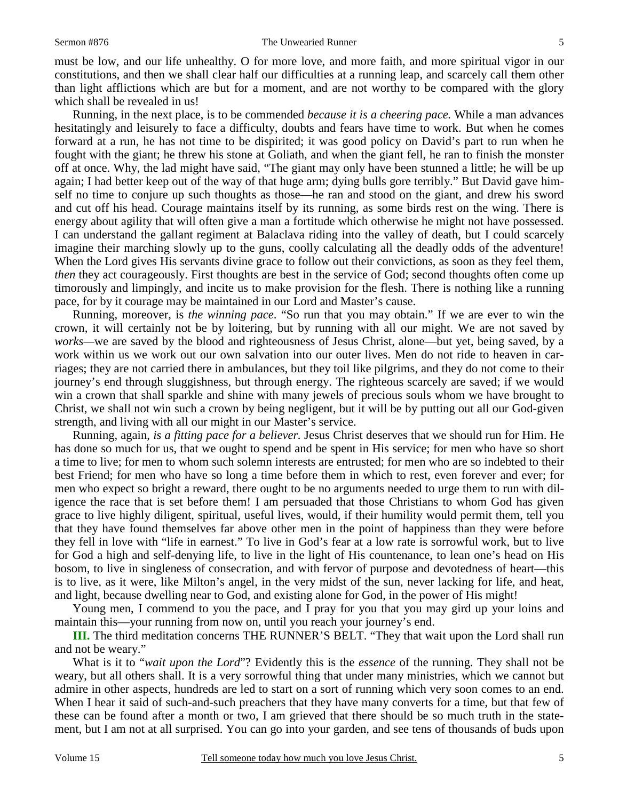#### Sermon #876 The Unwearied Runner

must be low, and our life unhealthy. O for more love, and more faith, and more spiritual vigor in our constitutions, and then we shall clear half our difficulties at a running leap, and scarcely call them other than light afflictions which are but for a moment, and are not worthy to be compared with the glory which shall be revealed in us!

 Running, in the next place, is to be commended *because it is a cheering pace.* While a man advances hesitatingly and leisurely to face a difficulty, doubts and fears have time to work. But when he comes forward at a run, he has not time to be dispirited; it was good policy on David's part to run when he fought with the giant; he threw his stone at Goliath, and when the giant fell, he ran to finish the monster off at once. Why, the lad might have said, "The giant may only have been stunned a little; he will be up again; I had better keep out of the way of that huge arm; dying bulls gore terribly." But David gave himself no time to conjure up such thoughts as those—he ran and stood on the giant, and drew his sword and cut off his head. Courage maintains itself by its running, as some birds rest on the wing. There is energy about agility that will often give a man a fortitude which otherwise he might not have possessed. I can understand the gallant regiment at Balaclava riding into the valley of death, but I could scarcely imagine their marching slowly up to the guns, coolly calculating all the deadly odds of the adventure! When the Lord gives His servants divine grace to follow out their convictions, as soon as they feel them, *then* they act courageously. First thoughts are best in the service of God; second thoughts often come up timorously and limpingly, and incite us to make provision for the flesh. There is nothing like a running pace, for by it courage may be maintained in our Lord and Master's cause.

 Running, moreover, is *the winning pace*. "So run that you may obtain." If we are ever to win the crown, it will certainly not be by loitering, but by running with all our might. We are not saved by *works—*we are saved by the blood and righteousness of Jesus Christ, alone—but yet, being saved, by a work within us we work out our own salvation into our outer lives. Men do not ride to heaven in carriages; they are not carried there in ambulances, but they toil like pilgrims, and they do not come to their journey's end through sluggishness, but through energy. The righteous scarcely are saved; if we would win a crown that shall sparkle and shine with many jewels of precious souls whom we have brought to Christ, we shall not win such a crown by being negligent, but it will be by putting out all our God-given strength, and living with all our might in our Master's service.

 Running, again, *is a fitting pace for a believer.* Jesus Christ deserves that we should run for Him. He has done so much for us, that we ought to spend and be spent in His service; for men who have so short a time to live; for men to whom such solemn interests are entrusted; for men who are so indebted to their best Friend; for men who have so long a time before them in which to rest, even forever and ever; for men who expect so bright a reward, there ought to be no arguments needed to urge them to run with diligence the race that is set before them! I am persuaded that those Christians to whom God has given grace to live highly diligent, spiritual, useful lives, would, if their humility would permit them, tell you that they have found themselves far above other men in the point of happiness than they were before they fell in love with "life in earnest." To live in God's fear at a low rate is sorrowful work, but to live for God a high and self-denying life, to live in the light of His countenance, to lean one's head on His bosom, to live in singleness of consecration, and with fervor of purpose and devotedness of heart—this is to live, as it were, like Milton's angel, in the very midst of the sun, never lacking for life, and heat, and light, because dwelling near to God, and existing alone for God, in the power of His might!

 Young men, I commend to you the pace, and I pray for you that you may gird up your loins and maintain this—your running from now on, until you reach your journey's end.

**III.** The third meditation concerns THE RUNNER'S BELT. "They that wait upon the Lord shall run and not be weary."

 What is it to "*wait upon the Lord*"? Evidently this is the *essence* of the running. They shall not be weary, but all others shall. It is a very sorrowful thing that under many ministries, which we cannot but admire in other aspects, hundreds are led to start on a sort of running which very soon comes to an end. When I hear it said of such-and-such preachers that they have many converts for a time, but that few of these can be found after a month or two, I am grieved that there should be so much truth in the statement, but I am not at all surprised. You can go into your garden, and see tens of thousands of buds upon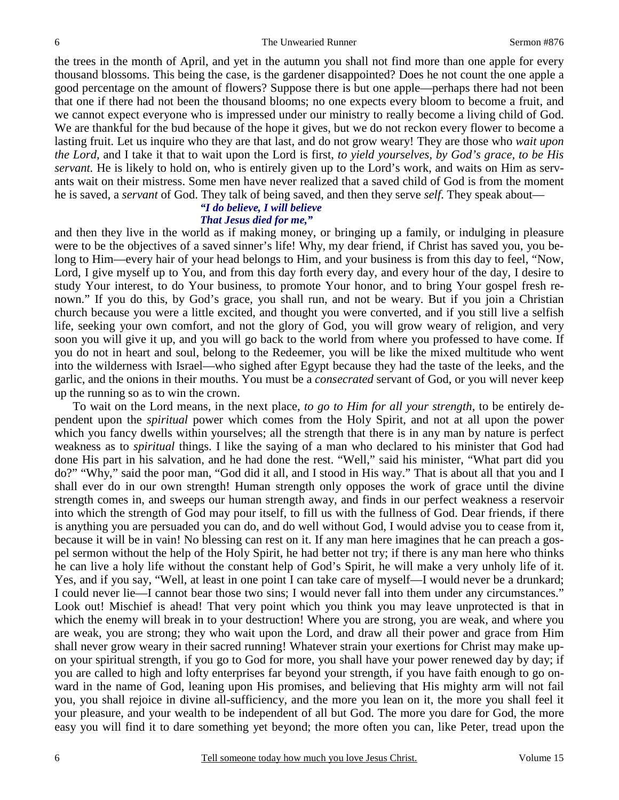the trees in the month of April, and yet in the autumn you shall not find more than one apple for every thousand blossoms. This being the case, is the gardener disappointed? Does he not count the one apple a good percentage on the amount of flowers? Suppose there is but one apple—perhaps there had not been that one if there had not been the thousand blooms; no one expects every bloom to become a fruit, and we cannot expect everyone who is impressed under our ministry to really become a living child of God. We are thankful for the bud because of the hope it gives, but we do not reckon every flower to become a lasting fruit. Let us inquire who they are that last, and do not grow weary! They are those who *wait upon the Lord,* and I take it that to wait upon the Lord is first, *to yield yourselves, by God's grace, to be His servant.* He is likely to hold on, who is entirely given up to the Lord's work, and waits on Him as servants wait on their mistress. Some men have never realized that a saved child of God is from the moment he is saved, a *servant* of God. They talk of being saved, and then they serve *self*. They speak about—

### *"I do believe, I will believe That Jesus died for me,"*

and then they live in the world as if making money, or bringing up a family, or indulging in pleasure were to be the objectives of a saved sinner's life! Why, my dear friend, if Christ has saved you, you belong to Him—every hair of your head belongs to Him, and your business is from this day to feel, "Now, Lord, I give myself up to You, and from this day forth every day, and every hour of the day, I desire to study Your interest, to do Your business, to promote Your honor, and to bring Your gospel fresh renown." If you do this, by God's grace, you shall run, and not be weary. But if you join a Christian church because you were a little excited, and thought you were converted, and if you still live a selfish life, seeking your own comfort, and not the glory of God, you will grow weary of religion, and very soon you will give it up, and you will go back to the world from where you professed to have come. If you do not in heart and soul, belong to the Redeemer, you will be like the mixed multitude who went into the wilderness with Israel—who sighed after Egypt because they had the taste of the leeks, and the garlic, and the onions in their mouths. You must be a *consecrated* servant of God, or you will never keep up the running so as to win the crown.

 To wait on the Lord means, in the next place, *to go to Him for all your strength*, to be entirely dependent upon the *spiritual* power which comes from the Holy Spirit, and not at all upon the power which you fancy dwells within yourselves; all the strength that there is in any man by nature is perfect weakness as to *spiritual* things. I like the saying of a man who declared to his minister that God had done His part in his salvation, and he had done the rest. "Well," said his minister, "What part did you do?" "Why," said the poor man, "God did it all, and I stood in His way." That is about all that you and I shall ever do in our own strength! Human strength only opposes the work of grace until the divine strength comes in, and sweeps our human strength away, and finds in our perfect weakness a reservoir into which the strength of God may pour itself, to fill us with the fullness of God. Dear friends, if there is anything you are persuaded you can do, and do well without God, I would advise you to cease from it, because it will be in vain! No blessing can rest on it. If any man here imagines that he can preach a gospel sermon without the help of the Holy Spirit, he had better not try; if there is any man here who thinks he can live a holy life without the constant help of God's Spirit, he will make a very unholy life of it. Yes, and if you say, "Well, at least in one point I can take care of myself—I would never be a drunkard; I could never lie—I cannot bear those two sins; I would never fall into them under any circumstances." Look out! Mischief is ahead! That very point which you think you may leave unprotected is that in which the enemy will break in to your destruction! Where you are strong, you are weak, and where you are weak, you are strong; they who wait upon the Lord, and draw all their power and grace from Him shall never grow weary in their sacred running! Whatever strain your exertions for Christ may make upon your spiritual strength, if you go to God for more, you shall have your power renewed day by day; if you are called to high and lofty enterprises far beyond your strength, if you have faith enough to go onward in the name of God, leaning upon His promises, and believing that His mighty arm will not fail you, you shall rejoice in divine all-sufficiency, and the more you lean on it, the more you shall feel it your pleasure, and your wealth to be independent of all but God. The more you dare for God, the more easy you will find it to dare something yet beyond; the more often you can, like Peter, tread upon the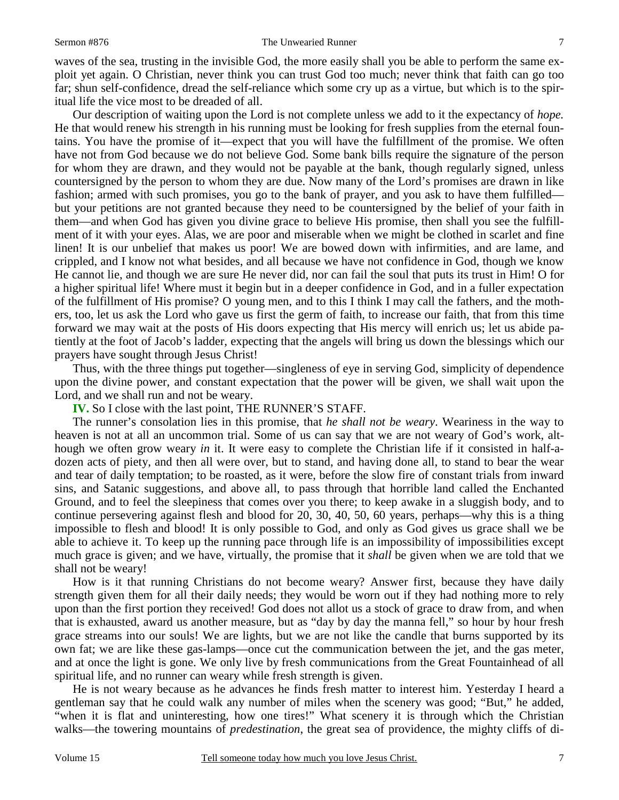#### Sermon #876 The Unwearied Runner

waves of the sea, trusting in the invisible God, the more easily shall you be able to perform the same exploit yet again. O Christian, never think you can trust God too much; never think that faith can go too far; shun self-confidence, dread the self-reliance which some cry up as a virtue, but which is to the spiritual life the vice most to be dreaded of all.

 Our description of waiting upon the Lord is not complete unless we add to it the expectancy of *hope.*  He that would renew his strength in his running must be looking for fresh supplies from the eternal fountains. You have the promise of it—expect that you will have the fulfillment of the promise. We often have not from God because we do not believe God. Some bank bills require the signature of the person for whom they are drawn, and they would not be payable at the bank, though regularly signed, unless countersigned by the person to whom they are due. Now many of the Lord's promises are drawn in like fashion; armed with such promises, you go to the bank of prayer, and you ask to have them fulfilled but your petitions are not granted because they need to be countersigned by the belief of your faith in them—and when God has given you divine grace to believe His promise, then shall you see the fulfillment of it with your eyes. Alas, we are poor and miserable when we might be clothed in scarlet and fine linen! It is our unbelief that makes us poor! We are bowed down with infirmities, and are lame, and crippled, and I know not what besides, and all because we have not confidence in God, though we know He cannot lie, and though we are sure He never did, nor can fail the soul that puts its trust in Him! O for a higher spiritual life! Where must it begin but in a deeper confidence in God, and in a fuller expectation of the fulfillment of His promise? O young men, and to this I think I may call the fathers, and the mothers, too, let us ask the Lord who gave us first the germ of faith, to increase our faith, that from this time forward we may wait at the posts of His doors expecting that His mercy will enrich us; let us abide patiently at the foot of Jacob's ladder, expecting that the angels will bring us down the blessings which our prayers have sought through Jesus Christ!

 Thus, with the three things put together—singleness of eye in serving God, simplicity of dependence upon the divine power, and constant expectation that the power will be given, we shall wait upon the Lord, and we shall run and not be weary.

**IV.** So I close with the last point, THE RUNNER'S STAFF.

 The runner's consolation lies in this promise, that *he shall not be weary*. Weariness in the way to heaven is not at all an uncommon trial. Some of us can say that we are not weary of God's work, although we often grow weary *in* it. It were easy to complete the Christian life if it consisted in half-adozen acts of piety, and then all were over, but to stand, and having done all, to stand to bear the wear and tear of daily temptation; to be roasted, as it were, before the slow fire of constant trials from inward sins, and Satanic suggestions, and above all, to pass through that horrible land called the Enchanted Ground, and to feel the sleepiness that comes over you there; to keep awake in a sluggish body, and to continue persevering against flesh and blood for 20, 30, 40, 50, 60 years, perhaps—why this is a thing impossible to flesh and blood! It is only possible to God, and only as God gives us grace shall we be able to achieve it. To keep up the running pace through life is an impossibility of impossibilities except much grace is given; and we have, virtually, the promise that it *shall* be given when we are told that we shall not be weary!

 How is it that running Christians do not become weary? Answer first, because they have daily strength given them for all their daily needs; they would be worn out if they had nothing more to rely upon than the first portion they received! God does not allot us a stock of grace to draw from, and when that is exhausted, award us another measure, but as "day by day the manna fell," so hour by hour fresh grace streams into our souls! We are lights, but we are not like the candle that burns supported by its own fat; we are like these gas-lamps—once cut the communication between the jet, and the gas meter, and at once the light is gone. We only live by fresh communications from the Great Fountainhead of all spiritual life, and no runner can weary while fresh strength is given.

 He is not weary because as he advances he finds fresh matter to interest him. Yesterday I heard a gentleman say that he could walk any number of miles when the scenery was good; "But," he added, "when it is flat and uninteresting, how one tires!" What scenery it is through which the Christian walks—the towering mountains of *predestination*, the great sea of providence, the mighty cliffs of di-

7